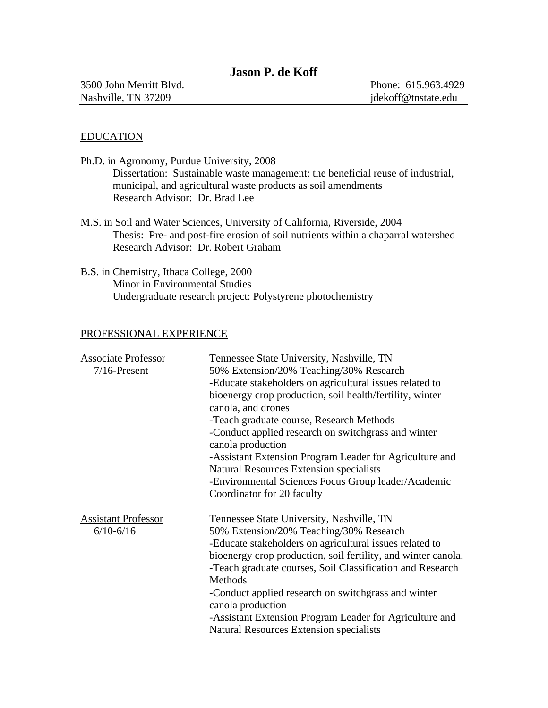# **Jason P. de Koff**

# EDUCATION

| Ph.D. in Agronomy, Purdue University, 2008                                                                                                                                                             |
|--------------------------------------------------------------------------------------------------------------------------------------------------------------------------------------------------------|
| Dissertation: Sustainable waste management: the beneficial reuse of industrial,                                                                                                                        |
| municipal, and agricultural waste products as soil amendments                                                                                                                                          |
| Research Advisor: Dr. Brad Lee                                                                                                                                                                         |
| M.S. in Soil and Water Sciences, University of California, Riverside, 2004<br>Thesis: Pre- and post-fire erosion of soil nutrients within a chaparral watershed<br>Research Advisor: Dr. Robert Graham |

B.S. in Chemistry, Ithaca College, 2000 Minor in Environmental Studies Undergraduate research project: Polystyrene photochemistry

# PROFESSIONAL EXPERIENCE

| <b>Associate Professor</b><br>$7/16$ -Present | Tennessee State University, Nashville, TN<br>50% Extension/20% Teaching/30% Research<br>-Educate stakeholders on agricultural issues related to<br>bioenergy crop production, soil health/fertility, winter<br>canola, and drones<br>-Teach graduate course, Research Methods<br>-Conduct applied research on switchgrass and winter<br>canola production<br>-Assistant Extension Program Leader for Agriculture and<br><b>Natural Resources Extension specialists</b><br>-Environmental Sciences Focus Group leader/Academic |
|-----------------------------------------------|-------------------------------------------------------------------------------------------------------------------------------------------------------------------------------------------------------------------------------------------------------------------------------------------------------------------------------------------------------------------------------------------------------------------------------------------------------------------------------------------------------------------------------|
| <b>Assistant Professor</b><br>$6/10 - 6/16$   | Coordinator for 20 faculty<br>Tennessee State University, Nashville, TN<br>50% Extension/20% Teaching/30% Research<br>-Educate stakeholders on agricultural issues related to<br>bioenergy crop production, soil fertility, and winter canola.<br>-Teach graduate courses, Soil Classification and Research<br>Methods<br>-Conduct applied research on switchgrass and winter<br>canola production<br>-Assistant Extension Program Leader for Agriculture and<br><b>Natural Resources Extension specialists</b>               |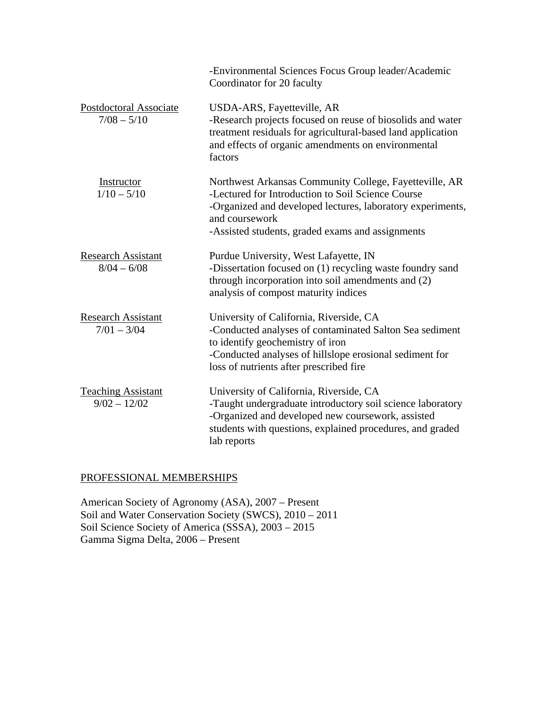|                                             | -Environmental Sciences Focus Group leader/Academic<br>Coordinator for 20 faculty                                                                                                                                                               |
|---------------------------------------------|-------------------------------------------------------------------------------------------------------------------------------------------------------------------------------------------------------------------------------------------------|
| Postdoctoral Associate<br>$7/08 - 5/10$     | USDA-ARS, Fayetteville, AR<br>-Research projects focused on reuse of biosolids and water<br>treatment residuals for agricultural-based land application<br>and effects of organic amendments on environmental<br>factors                        |
| Instructor<br>$1/10 - 5/10$                 | Northwest Arkansas Community College, Fayetteville, AR<br>-Lectured for Introduction to Soil Science Course<br>-Organized and developed lectures, laboratory experiments,<br>and coursework<br>-Assisted students, graded exams and assignments |
| <b>Research Assistant</b><br>$8/04 - 6/08$  | Purdue University, West Lafayette, IN<br>-Dissertation focused on (1) recycling waste foundry sand<br>through incorporation into soil amendments and (2)<br>analysis of compost maturity indices                                                |
| <b>Research Assistant</b><br>$7/01 - 3/04$  | University of California, Riverside, CA<br>-Conducted analyses of contaminated Salton Sea sediment<br>to identify geochemistry of iron<br>-Conducted analyses of hillslope erosional sediment for<br>loss of nutrients after prescribed fire    |
| <b>Teaching Assistant</b><br>$9/02 - 12/02$ | University of California, Riverside, CA<br>-Taught undergraduate introductory soil science laboratory<br>-Organized and developed new coursework, assisted<br>students with questions, explained procedures, and graded<br>lab reports          |

# PROFESSIONAL MEMBERSHIPS

American Society of Agronomy (ASA), 2007 – Present Soil and Water Conservation Society (SWCS), 2010 – 2011 Soil Science Society of America (SSSA), 2003 – 2015 Gamma Sigma Delta, 2006 – Present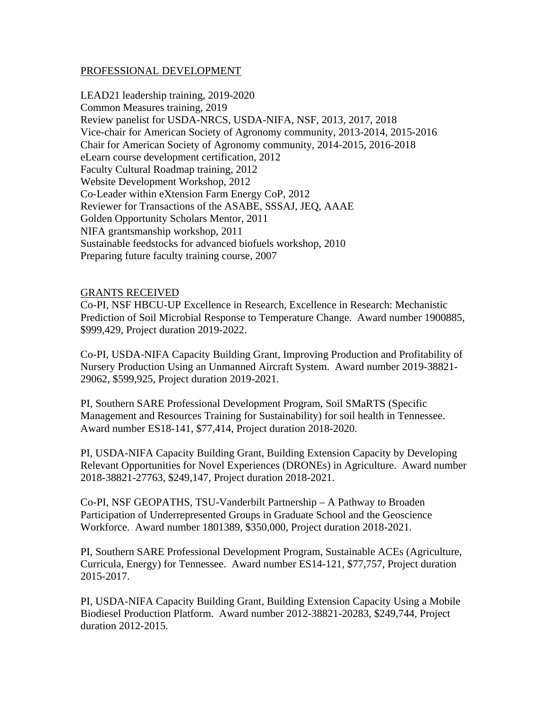### PROFESSIONAL DEVELOPMENT

LEAD21 leadership training, 2019-2020 Common Measures training, 2019 Review panelist for USDA-NRCS, USDA-NIFA, NSF, 2013, 2017, 2018 Vice-chair for American Society of Agronomy community, 2013-2014, 2015-2016 Chair for American Society of Agronomy community, 2014-2015, 2016-2018 eLearn course development certification, 2012 Faculty Cultural Roadmap training, 2012 Website Development Workshop, 2012 Co-Leader within eXtension Farm Energy CoP, 2012 Reviewer for Transactions of the ASABE, SSSAJ, JEQ, AAAE Golden Opportunity Scholars Mentor, 2011 NIFA grantsmanship workshop, 2011 Sustainable feedstocks for advanced biofuels workshop, 2010 Preparing future faculty training course, 2007

### GRANTS RECEIVED

Co-PI, NSF HBCU-UP Excellence in Research, Excellence in Research: Mechanistic Prediction of Soil Microbial Response to Temperature Change. Award number 1900885, \$999,429, Project duration 2019-2022.

Co-PI, USDA-NIFA Capacity Building Grant, Improving Production and Profitability of Nursery Production Using an Unmanned Aircraft System. Award number 2019-38821- 29062, \$599,925, Project duration 2019-2021.

PI, Southern SARE Professional Development Program, Soil SMaRTS (Specific Management and Resources Training for Sustainability) for soil health in Tennessee. Award number ES18-141, \$77,414, Project duration 2018-2020.

PI, USDA-NIFA Capacity Building Grant, Building Extension Capacity by Developing Relevant Opportunities for Novel Experiences (DRONEs) in Agriculture. Award number 2018-38821-27763, \$249,147, Project duration 2018-2021.

Co-PI, NSF GEOPATHS, TSU-Vanderbilt Partnership – A Pathway to Broaden Participation of Underrepresented Groups in Graduate School and the Geoscience Workforce. Award number 1801389, \$350,000, Project duration 2018-2021.

PI, Southern SARE Professional Development Program, Sustainable ACEs (Agriculture, Curricula, Energy) for Tennessee. Award number ES14-121, \$77,757, Project duration 2015-2017.

PI, USDA-NIFA Capacity Building Grant, Building Extension Capacity Using a Mobile Biodiesel Production Platform. Award number 2012-38821-20283, \$249,744, Project duration 2012-2015.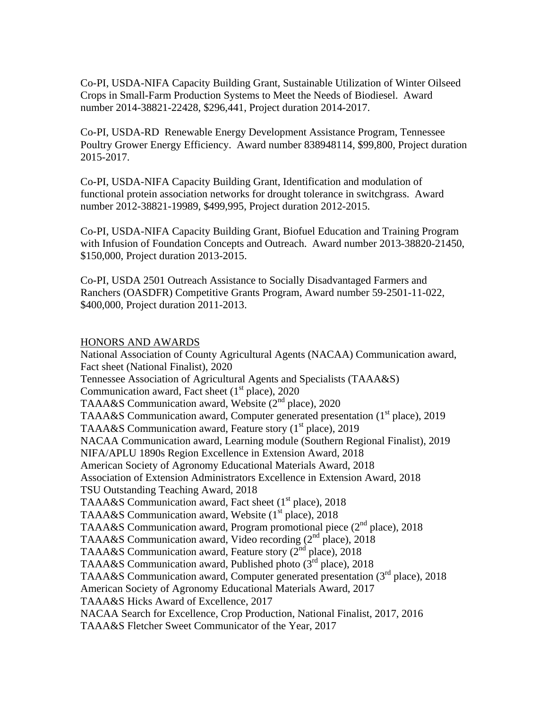Co-PI, USDA-NIFA Capacity Building Grant, Sustainable Utilization of Winter Oilseed Crops in Small-Farm Production Systems to Meet the Needs of Biodiesel. Award number 2014-38821-22428, \$296,441, Project duration 2014-2017.

Co-PI, USDA-RD Renewable Energy Development Assistance Program, Tennessee Poultry Grower Energy Efficiency. Award number 838948114, \$99,800, Project duration 2015-2017.

Co-PI, USDA-NIFA Capacity Building Grant, Identification and modulation of functional protein association networks for drought tolerance in switchgrass. Award number 2012-38821-19989, \$499,995, Project duration 2012-2015.

Co-PI, USDA-NIFA Capacity Building Grant, Biofuel Education and Training Program with Infusion of Foundation Concepts and Outreach. Award number 2013-38820-21450, \$150,000, Project duration 2013-2015.

Co-PI, USDA 2501 Outreach Assistance to Socially Disadvantaged Farmers and Ranchers (OASDFR) Competitive Grants Program, Award number 59-2501-11-022, \$400,000, Project duration 2011-2013.

### HONORS AND AWARDS

National Association of County Agricultural Agents (NACAA) Communication award, Fact sheet (National Finalist), 2020 Tennessee Association of Agricultural Agents and Specialists (TAAA&S) Communication award, Fact sheet  $(1<sup>st</sup>$  place), 2020 TAAA&S Communication award, Website  $(2<sup>nd</sup>$  place), 2020 TAAA&S Communication award, Computer generated presentation  $(1<sup>st</sup>$  place), 2019 TAAA&S Communication award, Feature story  $(1<sup>st</sup>$  place), 2019 NACAA Communication award, Learning module (Southern Regional Finalist), 2019 NIFA/APLU 1890s Region Excellence in Extension Award, 2018 American Society of Agronomy Educational Materials Award, 2018 Association of Extension Administrators Excellence in Extension Award, 2018 TSU Outstanding Teaching Award, 2018 TAAA&S Communication award, Fact sheet  $(1<sup>st</sup>$  place), 2018 TAAA&S Communication award, Website  $(1<sup>st</sup>$  place), 2018 TAAA&S Communication award, Program promotional piece (2<sup>nd</sup> place), 2018 TAAA&S Communication award, Video recording (2<sup>nd</sup> place), 2018 TAAA&S Communication award, Feature story (2<sup>nd</sup> place), 2018 TAAA&S Communication award, Published photo  $(3<sup>rd</sup>$  place), 2018 TAAA&S Communication award, Computer generated presentation  $(3<sup>rd</sup>$  place), 2018 American Society of Agronomy Educational Materials Award, 2017 TAAA&S Hicks Award of Excellence, 2017 NACAA Search for Excellence, Crop Production, National Finalist, 2017, 2016 TAAA&S Fletcher Sweet Communicator of the Year, 2017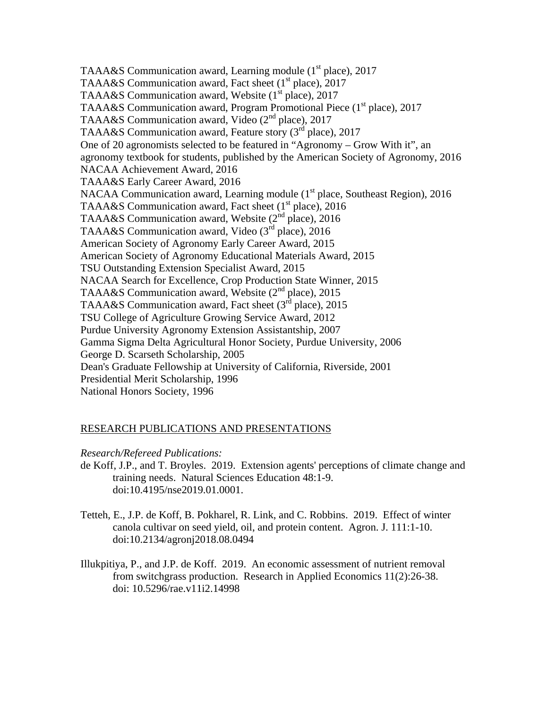TAAA&S Communication award, Learning module (1<sup>st</sup> place), 2017 TAAA&S Communication award, Fact sheet  $(1<sup>st</sup>$  place), 2017 TAAA&S Communication award, Website  $(1<sup>st</sup>$  place), 2017 TAAA&S Communication award, Program Promotional Piece (1<sup>st</sup> place), 2017 TAAA&S Communication award, Video (2<sup>nd</sup> place), 2017 TAAA&S Communication award, Feature story (3<sup>rd</sup> place), 2017 One of 20 agronomists selected to be featured in "Agronomy – Grow With it", an agronomy textbook for students, published by the American Society of Agronomy, 2016 NACAA Achievement Award, 2016 TAAA&S Early Career Award, 2016 NACAA Communication award, Learning module (1<sup>st</sup> place, Southeast Region), 2016 TAAA&S Communication award, Fact sheet  $(1<sup>st</sup>$  place), 2016 TAAA&S Communication award, Website  $(2^{nd}$  place), 2016 TAAA&S Communication award, Video  $(3<sup>rd</sup>$  place), 2016 American Society of Agronomy Early Career Award, 2015 American Society of Agronomy Educational Materials Award, 2015 TSU Outstanding Extension Specialist Award, 2015 NACAA Search for Excellence, Crop Production State Winner, 2015 TAAA&S Communication award, Website (2<sup>nd</sup> place), 2015 TAAA&S Communication award, Fact sheet  $(3<sup>rd</sup>$  place), 2015 TSU College of Agriculture Growing Service Award, 2012 Purdue University Agronomy Extension Assistantship, 2007 Gamma Sigma Delta Agricultural Honor Society, Purdue University, 2006 George D. Scarseth Scholarship, 2005 Dean's Graduate Fellowship at University of California, Riverside, 2001 Presidential Merit Scholarship, 1996 National Honors Society, 1996

# RESEARCH PUBLICATIONS AND PRESENTATIONS

## *Research/Refereed Publications:*

- de Koff, J.P., and T. Broyles. 2019. Extension agents' perceptions of climate change and training needs. Natural Sciences Education 48:1-9. doi:10.4195/nse2019.01.0001.
- Tetteh, E., J.P. de Koff, B. Pokharel, R. Link, and C. Robbins. 2019. Effect of winter canola cultivar on seed yield, oil, and protein content. Agron. J. 111:1-10. doi:10.2134/agronj2018.08.0494
- Illukpitiya, P., and J.P. de Koff. 2019. An economic assessment of nutrient removal from switchgrass production. Research in Applied Economics 11(2):26-38. doi: 10.5296/rae.v11i2.14998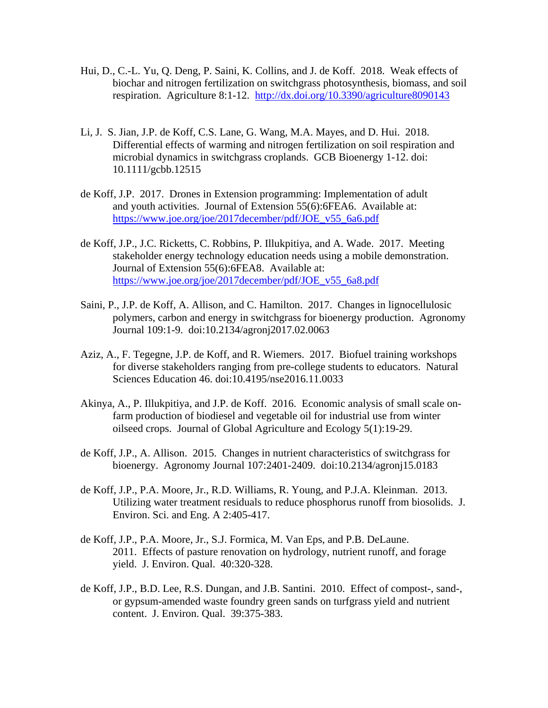- Hui, D., C.-L. Yu, Q. Deng, P. Saini, K. Collins, and J. de Koff. 2018. Weak effects of biochar and nitrogen fertilization on switchgrass photosynthesis, biomass, and soil respiration. Agriculture 8:1-12. http://dx.doi.org/10.3390/agriculture8090143
- Li, J. S. Jian, J.P. de Koff, C.S. Lane, G. Wang, M.A. Mayes, and D. Hui. 2018. Differential effects of warming and nitrogen fertilization on soil respiration and microbial dynamics in switchgrass croplands. GCB Bioenergy 1-12. doi: 10.1111/gcbb.12515
- de Koff, J.P. 2017. Drones in Extension programming: Implementation of adult and youth activities. Journal of Extension 55(6):6FEA6. Available at: https://www.joe.org/joe/2017december/pdf/JOE\_v55\_6a6.pdf
- de Koff, J.P., J.C. Ricketts, C. Robbins, P. Illukpitiya, and A. Wade. 2017. Meeting stakeholder energy technology education needs using a mobile demonstration. Journal of Extension 55(6):6FEA8. Available at: https://www.joe.org/joe/2017december/pdf/JOE\_v55\_6a8.pdf
- Saini, P., J.P. de Koff, A. Allison, and C. Hamilton. 2017. Changes in lignocellulosic polymers, carbon and energy in switchgrass for bioenergy production. Agronomy Journal 109:1-9. doi:10.2134/agronj2017.02.0063
- Aziz, A., F. Tegegne, J.P. de Koff, and R. Wiemers. 2017. Biofuel training workshops for diverse stakeholders ranging from pre-college students to educators. Natural Sciences Education 46. doi:10.4195/nse2016.11.0033
- Akinya, A., P. Illukpitiya, and J.P. de Koff. 2016. Economic analysis of small scale onfarm production of biodiesel and vegetable oil for industrial use from winter oilseed crops. Journal of Global Agriculture and Ecology 5(1):19-29.
- de Koff, J.P., A. Allison. 2015. Changes in nutrient characteristics of switchgrass for bioenergy. Agronomy Journal 107:2401-2409. doi:10.2134/agronj15.0183
- de Koff, J.P., P.A. Moore, Jr., R.D. Williams, R. Young, and P.J.A. Kleinman. 2013. Utilizing water treatment residuals to reduce phosphorus runoff from biosolids. J. Environ. Sci. and Eng. A 2:405-417.
- de Koff, J.P., P.A. Moore, Jr., S.J. Formica, M. Van Eps, and P.B. DeLaune. 2011. Effects of pasture renovation on hydrology, nutrient runoff, and forage yield. J. Environ. Qual. 40:320-328.
- de Koff, J.P., B.D. Lee, R.S. Dungan, and J.B. Santini. 2010. Effect of compost-, sand-, or gypsum-amended waste foundry green sands on turfgrass yield and nutrient content. J. Environ. Qual. 39:375-383.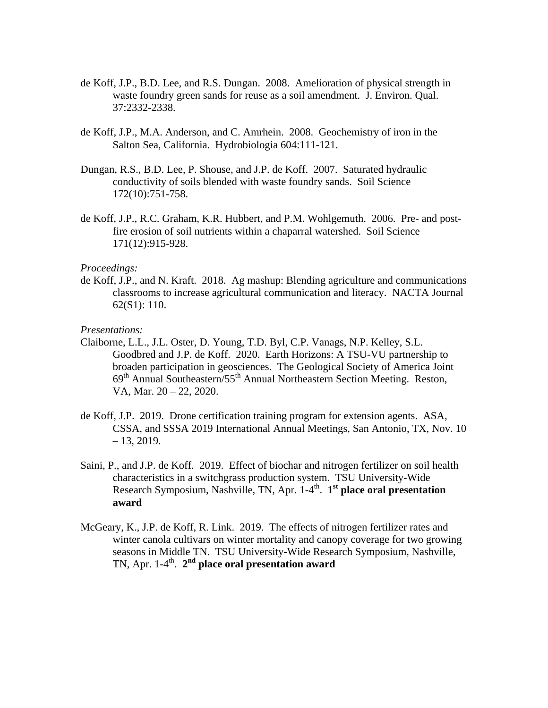- de Koff, J.P., B.D. Lee, and R.S. Dungan. 2008. Amelioration of physical strength in waste foundry green sands for reuse as a soil amendment. J. Environ. Qual. 37:2332-2338.
- de Koff, J.P., M.A. Anderson, and C. Amrhein. 2008. Geochemistry of iron in the Salton Sea, California. Hydrobiologia 604:111-121.
- Dungan, R.S., B.D. Lee, P. Shouse, and J.P. de Koff. 2007. Saturated hydraulic conductivity of soils blended with waste foundry sands. Soil Science 172(10):751-758.
- de Koff, J.P., R.C. Graham, K.R. Hubbert, and P.M. Wohlgemuth. 2006. Pre- and postfire erosion of soil nutrients within a chaparral watershed. Soil Science 171(12):915-928.

#### *Proceedings:*

de Koff, J.P., and N. Kraft. 2018. Ag mashup: Blending agriculture and communications classrooms to increase agricultural communication and literacy. NACTA Journal 62(S1): 110.

#### *Presentations:*

- Claiborne, L.L., J.L. Oster, D. Young, T.D. Byl, C.P. Vanags, N.P. Kelley, S.L. Goodbred and J.P. de Koff. 2020. Earth Horizons: A TSU-VU partnership to broaden participation in geosciences. The Geological Society of America Joint 69th Annual Southeastern/55th Annual Northeastern Section Meeting. Reston, VA, Mar. 20 – 22, 2020.
- de Koff, J.P. 2019. Drone certification training program for extension agents. ASA, CSSA, and SSSA 2019 International Annual Meetings, San Antonio, TX, Nov. 10  $-13, 2019.$
- Saini, P., and J.P. de Koff. 2019. Effect of biochar and nitrogen fertilizer on soil health characteristics in a switchgrass production system. TSU University-Wide Research Symposium, Nashville, TN, Apr. 1-4<sup>th</sup>. 1<sup>st</sup> place oral presentation **award**
- McGeary, K., J.P. de Koff, R. Link. 2019. The effects of nitrogen fertilizer rates and winter canola cultivars on winter mortality and canopy coverage for two growing seasons in Middle TN. TSU University-Wide Research Symposium, Nashville, TN, Apr. 1-4<sup>th</sup>. 2<sup>nd</sup> place oral presentation award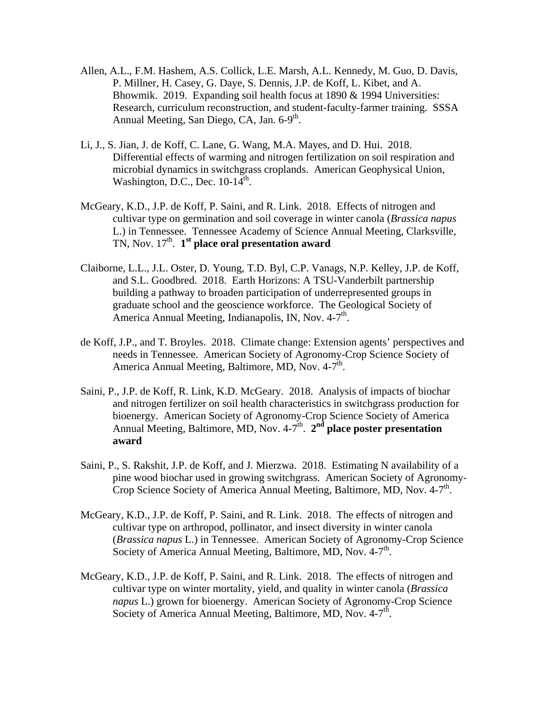- Allen, A.L., F.M. Hashem, A.S. Collick, L.E. Marsh, A.L. Kennedy, M. Guo, D. Davis, P. Millner, H. Casey, G. Daye, S. Dennis, J.P. de Koff, L. Kibet, and A. Bhowmik. 2019. Expanding soil health focus at 1890 & 1994 Universities: Research, curriculum reconstruction, and student-faculty-farmer training. SSSA Annual Meeting, San Diego, CA, Jan.  $6-9<sup>th</sup>$ .
- Li, J., S. Jian, J. de Koff, C. Lane, G. Wang, M.A. Mayes, and D. Hui. 2018. Differential effects of warming and nitrogen fertilization on soil respiration and microbial dynamics in switchgrass croplands. American Geophysical Union, Washington, D.C., Dec.  $10-14^{\text{th}}$ .
- McGeary, K.D., J.P. de Koff, P. Saini, and R. Link. 2018. Effects of nitrogen and cultivar type on germination and soil coverage in winter canola (*Brassica napus*  L.) in Tennessee. Tennessee Academy of Science Annual Meeting, Clarksville, TN, Nov. 17<sup>th</sup>. **1<sup>st</sup> place oral presentation award**
- Claiborne, L.L., J.L. Oster, D. Young, T.D. Byl, C.P. Vanags, N.P. Kelley, J.P. de Koff, and S.L. Goodbred. 2018. Earth Horizons: A TSU-Vanderbilt partnership building a pathway to broaden participation of underrepresented groups in graduate school and the geoscience workforce. The Geological Society of America Annual Meeting, Indianapolis, IN, Nov.  $4-7<sup>th</sup>$ .
- de Koff, J.P., and T. Broyles. 2018. Climate change: Extension agents' perspectives and needs in Tennessee. American Society of Agronomy-Crop Science Society of America Annual Meeting, Baltimore, MD, Nov.  $4-7<sup>th</sup>$ .
- Saini, P., J.P. de Koff, R. Link, K.D. McGeary. 2018. Analysis of impacts of biochar and nitrogen fertilizer on soil health characteristics in switchgrass production for bioenergy. American Society of Agronomy-Crop Science Society of America Annual Meeting, Baltimore, MD, Nov. 4-7<sup>th</sup>. 2<sup>nd</sup> place poster presentation **award**
- Saini, P., S. Rakshit, J.P. de Koff, and J. Mierzwa. 2018. Estimating N availability of a pine wood biochar used in growing switchgrass. American Society of Agronomy-Crop Science Society of America Annual Meeting, Baltimore, MD, Nov. 4-7<sup>th</sup>.
- McGeary, K.D., J.P. de Koff, P. Saini, and R. Link. 2018. The effects of nitrogen and cultivar type on arthropod, pollinator, and insect diversity in winter canola (*Brassica napus* L.) in Tennessee. American Society of Agronomy-Crop Science Society of America Annual Meeting, Baltimore, MD, Nov. 4-7<sup>th</sup>.
- McGeary, K.D., J.P. de Koff, P. Saini, and R. Link. 2018. The effects of nitrogen and cultivar type on winter mortality, yield, and quality in winter canola (*Brassica napus* L.) grown for bioenergy. American Society of Agronomy-Crop Science Society of America Annual Meeting, Baltimore, MD, Nov.  $4-7<sup>th</sup>$ .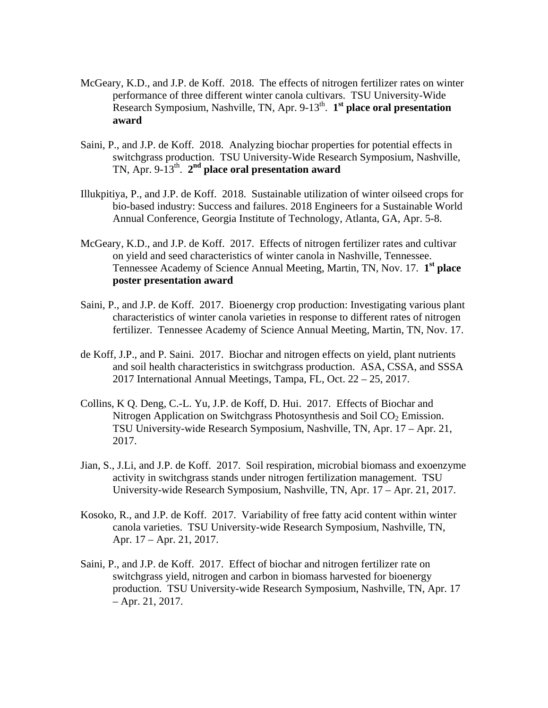- McGeary, K.D., and J.P. de Koff. 2018. The effects of nitrogen fertilizer rates on winter performance of three different winter canola cultivars. TSU University-Wide Research Symposium, Nashville, TN, Apr. 9-13<sup>th</sup>. 1<sup>st</sup> place oral presentation **award**
- Saini, P., and J.P. de Koff. 2018. Analyzing biochar properties for potential effects in switchgrass production. TSU University-Wide Research Symposium, Nashville, TN, Apr. 9-13<sup>th</sup>. 2<sup>nd</sup> place oral presentation award
- Illukpitiya, P., and J.P. de Koff. 2018. Sustainable utilization of winter oilseed crops for bio-based industry: Success and failures. 2018 Engineers for a Sustainable World Annual Conference, Georgia Institute of Technology, Atlanta, GA, Apr. 5-8.
- McGeary, K.D., and J.P. de Koff. 2017. Effects of nitrogen fertilizer rates and cultivar on yield and seed characteristics of winter canola in Nashville, Tennessee. Tennessee Academy of Science Annual Meeting, Martin, TN, Nov. 17. **1st place poster presentation award**
- Saini, P., and J.P. de Koff. 2017. Bioenergy crop production: Investigating various plant characteristics of winter canola varieties in response to different rates of nitrogen fertilizer. Tennessee Academy of Science Annual Meeting, Martin, TN, Nov. 17.
- de Koff, J.P., and P. Saini. 2017. Biochar and nitrogen effects on yield, plant nutrients and soil health characteristics in switchgrass production. ASA, CSSA, and SSSA 2017 International Annual Meetings, Tampa, FL, Oct. 22 – 25, 2017.
- Collins, K Q. Deng, C.-L. Yu, J.P. de Koff, D. Hui. 2017. Effects of Biochar and Nitrogen Application on Switchgrass Photosynthesis and Soil  $CO<sub>2</sub>$  Emission. TSU University-wide Research Symposium, Nashville, TN, Apr. 17 – Apr. 21, 2017.
- Jian, S., J.Li, and J.P. de Koff. 2017. Soil respiration, microbial biomass and exoenzyme activity in switchgrass stands under nitrogen fertilization management. TSU University-wide Research Symposium, Nashville, TN, Apr. 17 – Apr. 21, 2017.
- Kosoko, R., and J.P. de Koff. 2017. Variability of free fatty acid content within winter canola varieties. TSU University-wide Research Symposium, Nashville, TN, Apr. 17 – Apr. 21, 2017.
- Saini, P., and J.P. de Koff. 2017. Effect of biochar and nitrogen fertilizer rate on switchgrass yield, nitrogen and carbon in biomass harvested for bioenergy production. TSU University-wide Research Symposium, Nashville, TN, Apr. 17 – Apr. 21, 2017.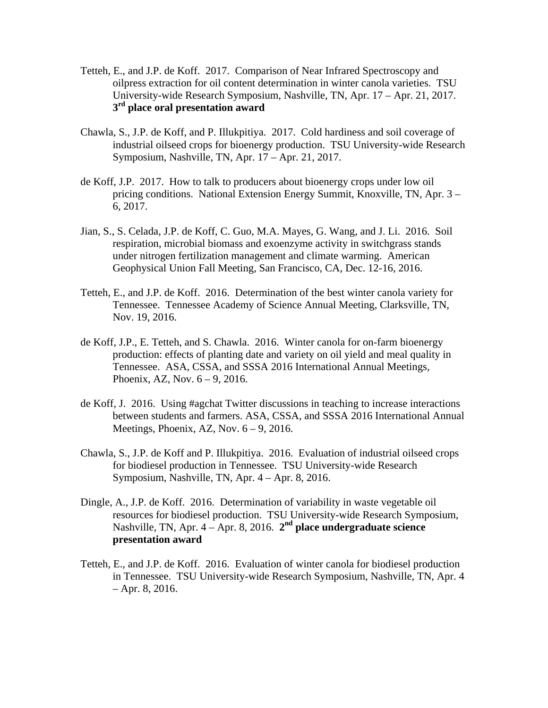- Tetteh, E., and J.P. de Koff. 2017. Comparison of Near Infrared Spectroscopy and oilpress extraction for oil content determination in winter canola varieties. TSU University-wide Research Symposium, Nashville, TN, Apr. 17 – Apr. 21, 2017. **3rd place oral presentation award**
- Chawla, S., J.P. de Koff, and P. Illukpitiya. 2017. Cold hardiness and soil coverage of industrial oilseed crops for bioenergy production. TSU University-wide Research Symposium, Nashville, TN, Apr. 17 – Apr. 21, 2017.
- de Koff, J.P. 2017. How to talk to producers about bioenergy crops under low oil pricing conditions. National Extension Energy Summit, Knoxville, TN, Apr. 3 – 6, 2017.
- Jian, S., S. Celada, J.P. de Koff, C. Guo, M.A. Mayes, G. Wang, and J. Li. 2016. Soil respiration, microbial biomass and exoenzyme activity in switchgrass stands under nitrogen fertilization management and climate warming. American Geophysical Union Fall Meeting, San Francisco, CA, Dec. 12-16, 2016.
- Tetteh, E., and J.P. de Koff. 2016. Determination of the best winter canola variety for Tennessee. Tennessee Academy of Science Annual Meeting, Clarksville, TN, Nov. 19, 2016.
- de Koff, J.P., E. Tetteh, and S. Chawla. 2016. Winter canola for on-farm bioenergy production: effects of planting date and variety on oil yield and meal quality in Tennessee. ASA, CSSA, and SSSA 2016 International Annual Meetings, Phoenix, AZ, Nov. 6 – 9, 2016.
- de Koff, J. 2016. Using #agchat Twitter discussions in teaching to increase interactions between students and farmers. ASA, CSSA, and SSSA 2016 International Annual Meetings, Phoenix, AZ, Nov.  $6 - 9$ , 2016.
- Chawla, S., J.P. de Koff and P. Illukpitiya. 2016. Evaluation of industrial oilseed crops for biodiesel production in Tennessee. TSU University-wide Research Symposium, Nashville, TN, Apr. 4 – Apr. 8, 2016.
- Dingle, A., J.P. de Koff. 2016. Determination of variability in waste vegetable oil resources for biodiesel production. TSU University-wide Research Symposium, Nashville, TN, Apr. 4 – Apr. 8, 2016. **2nd place undergraduate science presentation award**
- Tetteh, E., and J.P. de Koff. 2016. Evaluation of winter canola for biodiesel production in Tennessee. TSU University-wide Research Symposium, Nashville, TN, Apr. 4 – Apr. 8, 2016.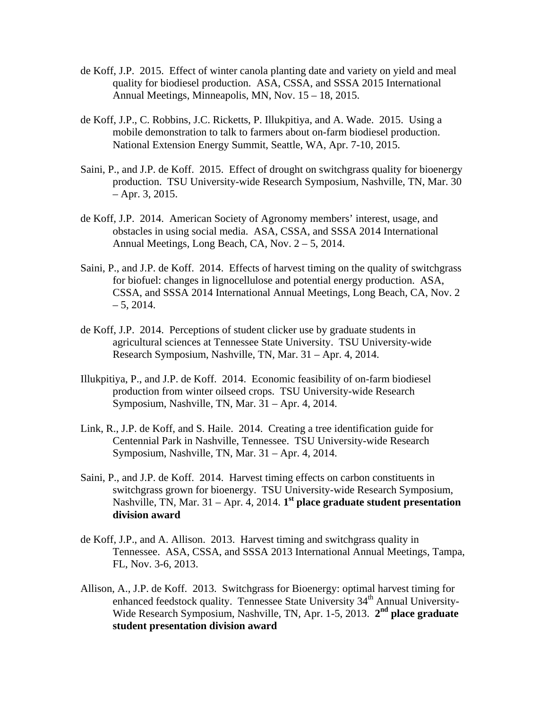- de Koff, J.P. 2015. Effect of winter canola planting date and variety on yield and meal quality for biodiesel production. ASA, CSSA, and SSSA 2015 International Annual Meetings, Minneapolis, MN, Nov. 15 – 18, 2015.
- de Koff, J.P., C. Robbins, J.C. Ricketts, P. Illukpitiya, and A. Wade. 2015. Using a mobile demonstration to talk to farmers about on-farm biodiesel production. National Extension Energy Summit, Seattle, WA, Apr. 7-10, 2015.
- Saini, P., and J.P. de Koff. 2015. Effect of drought on switchgrass quality for bioenergy production. TSU University-wide Research Symposium, Nashville, TN, Mar. 30 – Apr. 3, 2015.
- de Koff, J.P. 2014. American Society of Agronomy members' interest, usage, and obstacles in using social media. ASA, CSSA, and SSSA 2014 International Annual Meetings, Long Beach, CA, Nov. 2 – 5, 2014.
- Saini, P., and J.P. de Koff. 2014. Effects of harvest timing on the quality of switchgrass for biofuel: changes in lignocellulose and potential energy production. ASA, CSSA, and SSSA 2014 International Annual Meetings, Long Beach, CA, Nov. 2  $-5, 2014.$
- de Koff, J.P. 2014. Perceptions of student clicker use by graduate students in agricultural sciences at Tennessee State University. TSU University-wide Research Symposium, Nashville, TN, Mar. 31 – Apr. 4, 2014.
- Illukpitiya, P., and J.P. de Koff. 2014. Economic feasibility of on-farm biodiesel production from winter oilseed crops. TSU University-wide Research Symposium, Nashville, TN, Mar. 31 – Apr. 4, 2014.
- Link, R., J.P. de Koff, and S. Haile. 2014. Creating a tree identification guide for Centennial Park in Nashville, Tennessee. TSU University-wide Research Symposium, Nashville, TN, Mar. 31 – Apr. 4, 2014.
- Saini, P., and J.P. de Koff. 2014. Harvest timing effects on carbon constituents in switchgrass grown for bioenergy. TSU University-wide Research Symposium, Nashville, TN, Mar. 31 – Apr. 4, 2014. **1st place graduate student presentation division award**
- de Koff, J.P., and A. Allison. 2013. Harvest timing and switchgrass quality in Tennessee. ASA, CSSA, and SSSA 2013 International Annual Meetings, Tampa, FL, Nov. 3-6, 2013.
- Allison, A., J.P. de Koff. 2013. Switchgrass for Bioenergy: optimal harvest timing for enhanced feedstock quality. Tennessee State University  $34<sup>th</sup>$  Annual University-Wide Research Symposium, Nashville, TN, Apr. 1-5, 2013. **2nd place graduate student presentation division award**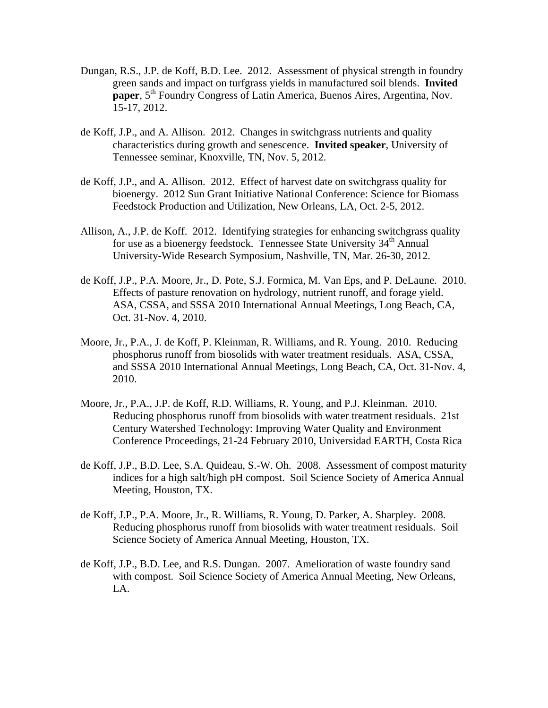- Dungan, R.S., J.P. de Koff, B.D. Lee. 2012. Assessment of physical strength in foundry green sands and impact on turfgrass yields in manufactured soil blends. **Invited paper**, 5<sup>th</sup> Foundry Congress of Latin America, Buenos Aires, Argentina, Nov. 15-17, 2012.
- de Koff, J.P., and A. Allison. 2012. Changes in switchgrass nutrients and quality characteristics during growth and senescence. **Invited speaker**, University of Tennessee seminar, Knoxville, TN, Nov. 5, 2012.
- de Koff, J.P., and A. Allison. 2012. Effect of harvest date on switchgrass quality for bioenergy. 2012 Sun Grant Initiative National Conference: Science for Biomass Feedstock Production and Utilization, New Orleans, LA, Oct. 2-5, 2012.
- Allison, A., J.P. de Koff. 2012. Identifying strategies for enhancing switchgrass quality for use as a bioenergy feedstock. Tennessee State University  $34<sup>th</sup>$  Annual University-Wide Research Symposium, Nashville, TN, Mar. 26-30, 2012.
- de Koff, J.P., P.A. Moore, Jr., D. Pote, S.J. Formica, M. Van Eps, and P. DeLaune. 2010. Effects of pasture renovation on hydrology, nutrient runoff, and forage yield. ASA, CSSA, and SSSA 2010 International Annual Meetings, Long Beach, CA, Oct. 31-Nov. 4, 2010.
- Moore, Jr., P.A., J. de Koff, P. Kleinman, R. Williams, and R. Young. 2010. Reducing phosphorus runoff from biosolids with water treatment residuals. ASA, CSSA, and SSSA 2010 International Annual Meetings, Long Beach, CA, Oct. 31-Nov. 4, 2010.
- Moore, Jr., P.A., J.P. de Koff, R.D. Williams, R. Young, and P.J. Kleinman. 2010. Reducing phosphorus runoff from biosolids with water treatment residuals. 21st Century Watershed Technology: Improving Water Quality and Environment Conference Proceedings, 21-24 February 2010, Universidad EARTH, Costa Rica
- de Koff, J.P., B.D. Lee, S.A. Quideau, S.-W. Oh. 2008. Assessment of compost maturity indices for a high salt/high pH compost. Soil Science Society of America Annual Meeting, Houston, TX.
- de Koff, J.P., P.A. Moore, Jr., R. Williams, R. Young, D. Parker, A. Sharpley. 2008. Reducing phosphorus runoff from biosolids with water treatment residuals. Soil Science Society of America Annual Meeting, Houston, TX.
- de Koff, J.P., B.D. Lee, and R.S. Dungan. 2007. Amelioration of waste foundry sand with compost. Soil Science Society of America Annual Meeting, New Orleans, LA.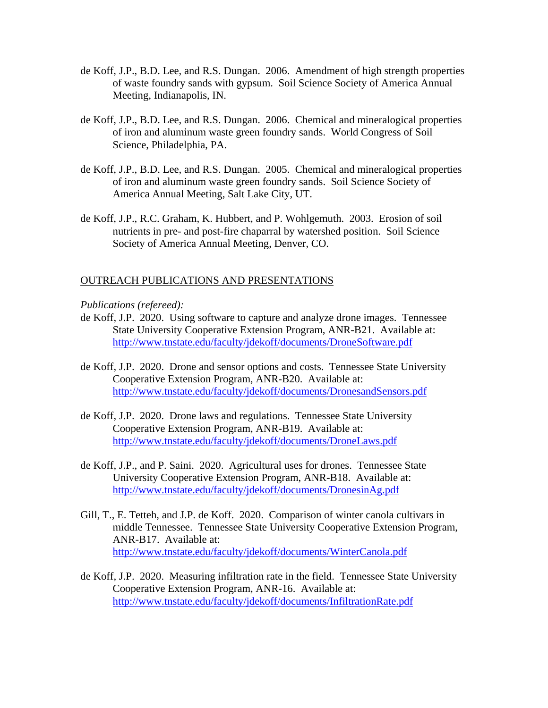- de Koff, J.P., B.D. Lee, and R.S. Dungan. 2006. Amendment of high strength properties of waste foundry sands with gypsum. Soil Science Society of America Annual Meeting, Indianapolis, IN.
- de Koff, J.P., B.D. Lee, and R.S. Dungan. 2006. Chemical and mineralogical properties of iron and aluminum waste green foundry sands. World Congress of Soil Science, Philadelphia, PA.
- de Koff, J.P., B.D. Lee, and R.S. Dungan. 2005. Chemical and mineralogical properties of iron and aluminum waste green foundry sands. Soil Science Society of America Annual Meeting, Salt Lake City, UT.
- de Koff, J.P., R.C. Graham, K. Hubbert, and P. Wohlgemuth. 2003. Erosion of soil nutrients in pre- and post-fire chaparral by watershed position. Soil Science Society of America Annual Meeting, Denver, CO.

## OUTREACH PUBLICATIONS AND PRESENTATIONS

*Publications (refereed):* 

- de Koff, J.P. 2020. Using software to capture and analyze drone images. Tennessee State University Cooperative Extension Program, ANR-B21. Available at: http://www.tnstate.edu/faculty/jdekoff/documents/DroneSoftware.pdf
- de Koff, J.P. 2020. Drone and sensor options and costs. Tennessee State University Cooperative Extension Program, ANR-B20. Available at: http://www.tnstate.edu/faculty/jdekoff/documents/DronesandSensors.pdf
- de Koff, J.P. 2020. Drone laws and regulations. Tennessee State University Cooperative Extension Program, ANR-B19. Available at: http://www.tnstate.edu/faculty/jdekoff/documents/DroneLaws.pdf
- de Koff, J.P., and P. Saini. 2020. Agricultural uses for drones. Tennessee State University Cooperative Extension Program, ANR-B18. Available at: http://www.tnstate.edu/faculty/jdekoff/documents/DronesinAg.pdf
- Gill, T., E. Tetteh, and J.P. de Koff. 2020. Comparison of winter canola cultivars in middle Tennessee. Tennessee State University Cooperative Extension Program, ANR-B17. Available at: http://www.tnstate.edu/faculty/jdekoff/documents/WinterCanola.pdf
- de Koff, J.P. 2020. Measuring infiltration rate in the field. Tennessee State University Cooperative Extension Program, ANR-16. Available at: http://www.tnstate.edu/faculty/jdekoff/documents/InfiltrationRate.pdf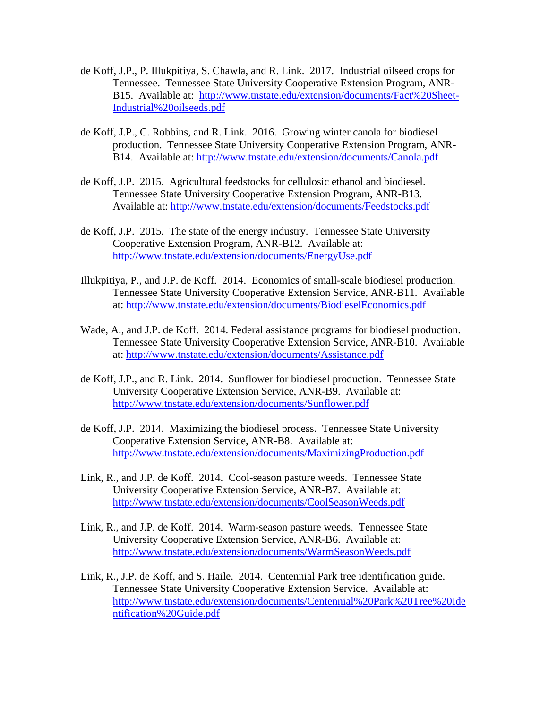- de Koff, J.P., P. Illukpitiya, S. Chawla, and R. Link. 2017. Industrial oilseed crops for Tennessee. Tennessee State University Cooperative Extension Program, ANR-B15. Available at: http://www.tnstate.edu/extension/documents/Fact%20Sheet-Industrial%20oilseeds.pdf
- de Koff, J.P., C. Robbins, and R. Link. 2016. Growing winter canola for biodiesel production. Tennessee State University Cooperative Extension Program, ANR-B14. Available at: http://www.tnstate.edu/extension/documents/Canola.pdf
- de Koff, J.P. 2015. Agricultural feedstocks for cellulosic ethanol and biodiesel. Tennessee State University Cooperative Extension Program, ANR-B13. Available at: http://www.tnstate.edu/extension/documents/Feedstocks.pdf
- de Koff, J.P. 2015. The state of the energy industry. Tennessee State University Cooperative Extension Program, ANR-B12. Available at: http://www.tnstate.edu/extension/documents/EnergyUse.pdf
- Illukpitiya, P., and J.P. de Koff. 2014. Economics of small-scale biodiesel production. Tennessee State University Cooperative Extension Service, ANR-B11. Available at: http://www.tnstate.edu/extension/documents/BiodieselEconomics.pdf
- Wade, A., and J.P. de Koff. 2014. Federal assistance programs for biodiesel production. Tennessee State University Cooperative Extension Service, ANR-B10. Available at: http://www.tnstate.edu/extension/documents/Assistance.pdf
- de Koff, J.P., and R. Link. 2014. Sunflower for biodiesel production. Tennessee State University Cooperative Extension Service, ANR-B9. Available at: http://www.tnstate.edu/extension/documents/Sunflower.pdf
- de Koff, J.P. 2014. Maximizing the biodiesel process. Tennessee State University Cooperative Extension Service, ANR-B8. Available at: http://www.tnstate.edu/extension/documents/MaximizingProduction.pdf
- Link, R., and J.P. de Koff. 2014. Cool-season pasture weeds. Tennessee State University Cooperative Extension Service, ANR-B7. Available at: http://www.tnstate.edu/extension/documents/CoolSeasonWeeds.pdf
- Link, R., and J.P. de Koff. 2014. Warm-season pasture weeds. Tennessee State University Cooperative Extension Service, ANR-B6. Available at: http://www.tnstate.edu/extension/documents/WarmSeasonWeeds.pdf
- Link, R., J.P. de Koff, and S. Haile. 2014. Centennial Park tree identification guide. Tennessee State University Cooperative Extension Service. Available at: http://www.tnstate.edu/extension/documents/Centennial%20Park%20Tree%20Ide ntification%20Guide.pdf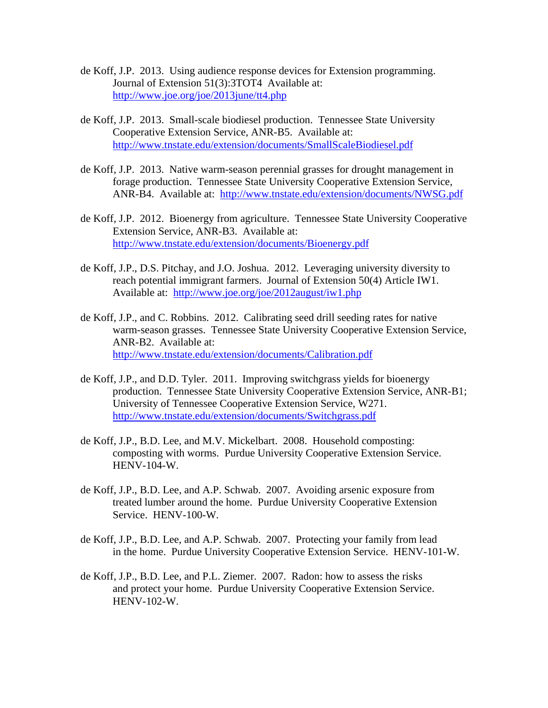- de Koff, J.P. 2013. Using audience response devices for Extension programming. Journal of Extension 51(3):3TOT4 Available at: http://www.joe.org/joe/2013june/tt4.php
- de Koff, J.P. 2013. Small-scale biodiesel production. Tennessee State University Cooperative Extension Service, ANR-B5. Available at: http://www.tnstate.edu/extension/documents/SmallScaleBiodiesel.pdf
- de Koff, J.P. 2013. Native warm-season perennial grasses for drought management in forage production. Tennessee State University Cooperative Extension Service, ANR-B4. Available at: http://www.tnstate.edu/extension/documents/NWSG.pdf
- de Koff, J.P. 2012. Bioenergy from agriculture. Tennessee State University Cooperative Extension Service, ANR-B3. Available at: http://www.tnstate.edu/extension/documents/Bioenergy.pdf
- de Koff, J.P., D.S. Pitchay, and J.O. Joshua. 2012. Leveraging university diversity to reach potential immigrant farmers. Journal of Extension 50(4) Article IW1. Available at: http://www.joe.org/joe/2012august/iw1.php
- de Koff, J.P., and C. Robbins. 2012. Calibrating seed drill seeding rates for native warm-season grasses. Tennessee State University Cooperative Extension Service, ANR-B2. Available at: http://www.tnstate.edu/extension/documents/Calibration.pdf
- de Koff, J.P., and D.D. Tyler. 2011. Improving switchgrass yields for bioenergy production. Tennessee State University Cooperative Extension Service, ANR-B1; University of Tennessee Cooperative Extension Service, W271. http://www.tnstate.edu/extension/documents/Switchgrass.pdf
- de Koff, J.P., B.D. Lee, and M.V. Mickelbart. 2008. Household composting: composting with worms. Purdue University Cooperative Extension Service. HENV-104-W.
- de Koff, J.P., B.D. Lee, and A.P. Schwab. 2007. Avoiding arsenic exposure from treated lumber around the home. Purdue University Cooperative Extension Service. HENV-100-W.
- de Koff, J.P., B.D. Lee, and A.P. Schwab. 2007. Protecting your family from lead in the home. Purdue University Cooperative Extension Service. HENV-101-W.
- de Koff, J.P., B.D. Lee, and P.L. Ziemer. 2007. Radon: how to assess the risks and protect your home. Purdue University Cooperative Extension Service. HENV-102-W.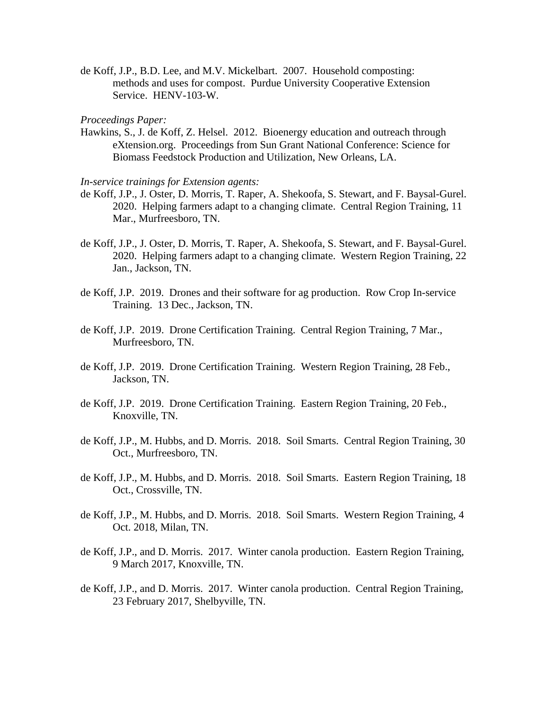de Koff, J.P., B.D. Lee, and M.V. Mickelbart. 2007. Household composting: methods and uses for compost. Purdue University Cooperative Extension Service. HENV-103-W.

#### *Proceedings Paper:*

Hawkins, S., J. de Koff, Z. Helsel. 2012. Bioenergy education and outreach through eXtension.org. Proceedings from Sun Grant National Conference: Science for Biomass Feedstock Production and Utilization, New Orleans, LA.

*In-service trainings for Extension agents:* 

- de Koff, J.P., J. Oster, D. Morris, T. Raper, A. Shekoofa, S. Stewart, and F. Baysal-Gurel. 2020. Helping farmers adapt to a changing climate. Central Region Training, 11 Mar., Murfreesboro, TN.
- de Koff, J.P., J. Oster, D. Morris, T. Raper, A. Shekoofa, S. Stewart, and F. Baysal-Gurel. 2020. Helping farmers adapt to a changing climate. Western Region Training, 22 Jan., Jackson, TN.
- de Koff, J.P. 2019. Drones and their software for ag production. Row Crop In-service Training. 13 Dec., Jackson, TN.
- de Koff, J.P. 2019. Drone Certification Training. Central Region Training, 7 Mar., Murfreesboro, TN.
- de Koff, J.P. 2019. Drone Certification Training. Western Region Training, 28 Feb., Jackson, TN.
- de Koff, J.P. 2019. Drone Certification Training. Eastern Region Training, 20 Feb., Knoxville, TN.
- de Koff, J.P., M. Hubbs, and D. Morris. 2018. Soil Smarts. Central Region Training, 30 Oct., Murfreesboro, TN.
- de Koff, J.P., M. Hubbs, and D. Morris. 2018. Soil Smarts. Eastern Region Training, 18 Oct., Crossville, TN.
- de Koff, J.P., M. Hubbs, and D. Morris. 2018. Soil Smarts. Western Region Training, 4 Oct. 2018, Milan, TN.
- de Koff, J.P., and D. Morris. 2017. Winter canola production. Eastern Region Training, 9 March 2017, Knoxville, TN.
- de Koff, J.P., and D. Morris. 2017. Winter canola production. Central Region Training, 23 February 2017, Shelbyville, TN.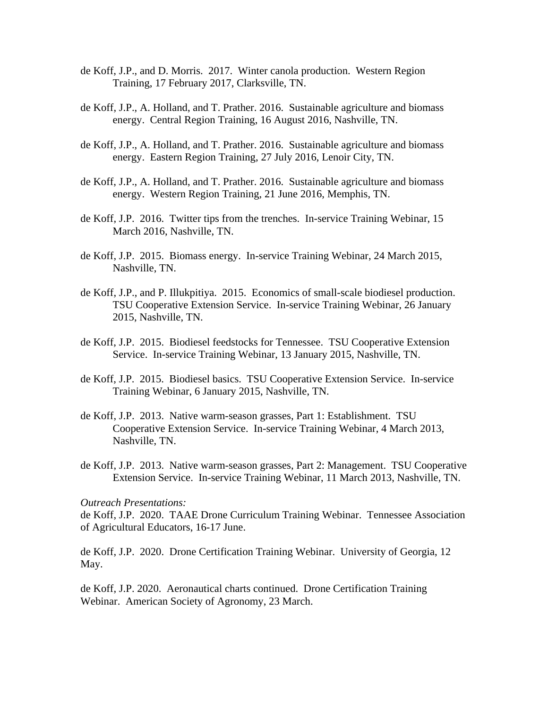- de Koff, J.P., and D. Morris. 2017. Winter canola production. Western Region Training, 17 February 2017, Clarksville, TN.
- de Koff, J.P., A. Holland, and T. Prather. 2016. Sustainable agriculture and biomass energy. Central Region Training, 16 August 2016, Nashville, TN.
- de Koff, J.P., A. Holland, and T. Prather. 2016. Sustainable agriculture and biomass energy. Eastern Region Training, 27 July 2016, Lenoir City, TN.
- de Koff, J.P., A. Holland, and T. Prather. 2016. Sustainable agriculture and biomass energy. Western Region Training, 21 June 2016, Memphis, TN.
- de Koff, J.P. 2016. Twitter tips from the trenches. In-service Training Webinar, 15 March 2016, Nashville, TN.
- de Koff, J.P. 2015. Biomass energy. In-service Training Webinar, 24 March 2015, Nashville, TN.
- de Koff, J.P., and P. Illukpitiya. 2015. Economics of small-scale biodiesel production. TSU Cooperative Extension Service. In-service Training Webinar, 26 January 2015, Nashville, TN.
- de Koff, J.P. 2015. Biodiesel feedstocks for Tennessee. TSU Cooperative Extension Service. In-service Training Webinar, 13 January 2015, Nashville, TN.
- de Koff, J.P. 2015. Biodiesel basics. TSU Cooperative Extension Service. In-service Training Webinar, 6 January 2015, Nashville, TN.
- de Koff, J.P. 2013. Native warm-season grasses, Part 1: Establishment. TSU Cooperative Extension Service. In-service Training Webinar, 4 March 2013, Nashville, TN.
- de Koff, J.P. 2013. Native warm-season grasses, Part 2: Management. TSU Cooperative Extension Service. In-service Training Webinar, 11 March 2013, Nashville, TN.

#### *Outreach Presentations:*

de Koff, J.P. 2020. TAAE Drone Curriculum Training Webinar. Tennessee Association of Agricultural Educators, 16-17 June.

de Koff, J.P. 2020. Drone Certification Training Webinar. University of Georgia, 12 May.

de Koff, J.P. 2020. Aeronautical charts continued. Drone Certification Training Webinar. American Society of Agronomy, 23 March.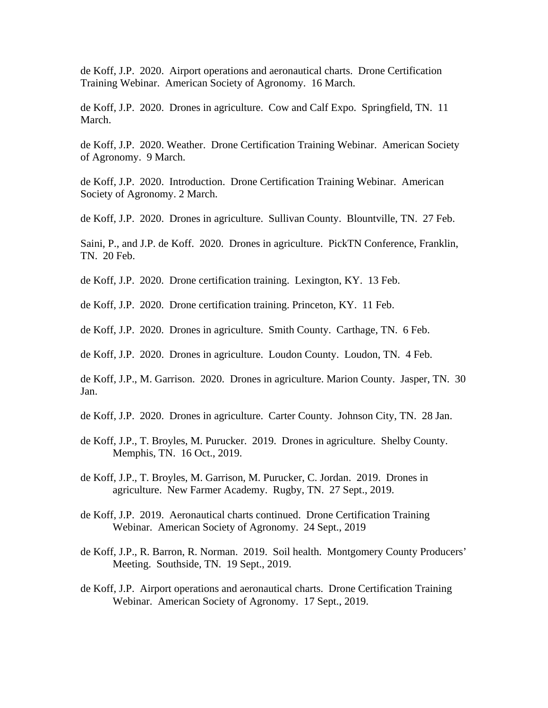de Koff, J.P. 2020. Airport operations and aeronautical charts. Drone Certification Training Webinar. American Society of Agronomy. 16 March.

de Koff, J.P. 2020. Drones in agriculture. Cow and Calf Expo. Springfield, TN. 11 March.

de Koff, J.P. 2020. Weather. Drone Certification Training Webinar. American Society of Agronomy. 9 March.

de Koff, J.P. 2020. Introduction. Drone Certification Training Webinar. American Society of Agronomy. 2 March.

de Koff, J.P. 2020. Drones in agriculture. Sullivan County. Blountville, TN. 27 Feb.

Saini, P., and J.P. de Koff. 2020. Drones in agriculture. PickTN Conference, Franklin, TN. 20 Feb.

de Koff, J.P. 2020. Drone certification training. Lexington, KY. 13 Feb.

de Koff, J.P. 2020. Drone certification training. Princeton, KY. 11 Feb.

de Koff, J.P. 2020. Drones in agriculture. Smith County. Carthage, TN. 6 Feb.

de Koff, J.P. 2020. Drones in agriculture. Loudon County. Loudon, TN. 4 Feb.

de Koff, J.P., M. Garrison. 2020. Drones in agriculture. Marion County. Jasper, TN. 30 Jan.

de Koff, J.P. 2020. Drones in agriculture. Carter County. Johnson City, TN. 28 Jan.

de Koff, J.P., T. Broyles, M. Purucker. 2019. Drones in agriculture. Shelby County. Memphis, TN. 16 Oct., 2019.

de Koff, J.P., T. Broyles, M. Garrison, M. Purucker, C. Jordan. 2019. Drones in agriculture. New Farmer Academy. Rugby, TN. 27 Sept., 2019.

de Koff, J.P. 2019. Aeronautical charts continued. Drone Certification Training Webinar. American Society of Agronomy. 24 Sept., 2019

de Koff, J.P., R. Barron, R. Norman. 2019. Soil health. Montgomery County Producers' Meeting. Southside, TN. 19 Sept., 2019.

de Koff, J.P. Airport operations and aeronautical charts. Drone Certification Training Webinar. American Society of Agronomy. 17 Sept., 2019.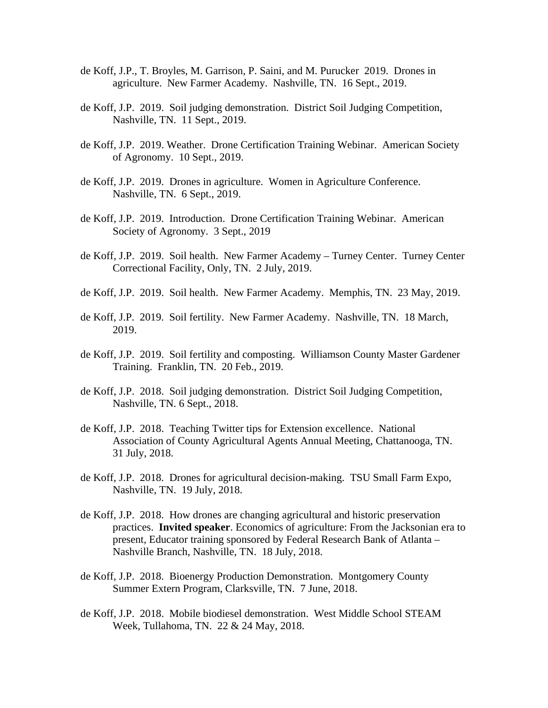- de Koff, J.P., T. Broyles, M. Garrison, P. Saini, and M. Purucker 2019. Drones in agriculture. New Farmer Academy. Nashville, TN. 16 Sept., 2019.
- de Koff, J.P. 2019. Soil judging demonstration. District Soil Judging Competition, Nashville, TN. 11 Sept., 2019.
- de Koff, J.P. 2019. Weather. Drone Certification Training Webinar. American Society of Agronomy. 10 Sept., 2019.
- de Koff, J.P. 2019. Drones in agriculture. Women in Agriculture Conference. Nashville, TN. 6 Sept., 2019.
- de Koff, J.P. 2019. Introduction. Drone Certification Training Webinar. American Society of Agronomy. 3 Sept., 2019
- de Koff, J.P. 2019. Soil health. New Farmer Academy Turney Center. Turney Center Correctional Facility, Only, TN. 2 July, 2019.
- de Koff, J.P. 2019. Soil health. New Farmer Academy. Memphis, TN. 23 May, 2019.
- de Koff, J.P. 2019. Soil fertility. New Farmer Academy. Nashville, TN. 18 March, 2019.
- de Koff, J.P. 2019. Soil fertility and composting. Williamson County Master Gardener Training. Franklin, TN. 20 Feb., 2019.
- de Koff, J.P. 2018. Soil judging demonstration. District Soil Judging Competition, Nashville, TN. 6 Sept., 2018.
- de Koff, J.P. 2018. Teaching Twitter tips for Extension excellence. National Association of County Agricultural Agents Annual Meeting, Chattanooga, TN. 31 July, 2018.
- de Koff, J.P. 2018. Drones for agricultural decision-making. TSU Small Farm Expo, Nashville, TN. 19 July, 2018.
- de Koff, J.P. 2018. How drones are changing agricultural and historic preservation practices. **Invited speaker**. Economics of agriculture: From the Jacksonian era to present, Educator training sponsored by Federal Research Bank of Atlanta – Nashville Branch, Nashville, TN. 18 July, 2018.
- de Koff, J.P. 2018. Bioenergy Production Demonstration. Montgomery County Summer Extern Program, Clarksville, TN. 7 June, 2018.
- de Koff, J.P. 2018. Mobile biodiesel demonstration. West Middle School STEAM Week, Tullahoma, TN. 22 & 24 May, 2018.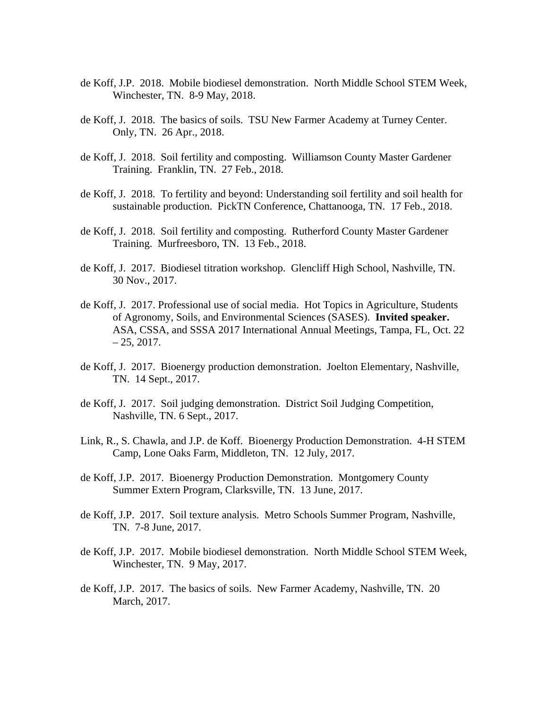- de Koff, J.P. 2018. Mobile biodiesel demonstration. North Middle School STEM Week, Winchester, TN. 8-9 May, 2018.
- de Koff, J. 2018. The basics of soils. TSU New Farmer Academy at Turney Center. Only, TN. 26 Apr., 2018.
- de Koff, J. 2018. Soil fertility and composting. Williamson County Master Gardener Training. Franklin, TN. 27 Feb., 2018.
- de Koff, J. 2018. To fertility and beyond: Understanding soil fertility and soil health for sustainable production. PickTN Conference, Chattanooga, TN. 17 Feb., 2018.
- de Koff, J. 2018. Soil fertility and composting. Rutherford County Master Gardener Training. Murfreesboro, TN. 13 Feb., 2018.
- de Koff, J. 2017. Biodiesel titration workshop. Glencliff High School, Nashville, TN. 30 Nov., 2017.
- de Koff, J. 2017. Professional use of social media. Hot Topics in Agriculture, Students of Agronomy, Soils, and Environmental Sciences (SASES). **Invited speaker.**  ASA, CSSA, and SSSA 2017 International Annual Meetings, Tampa, FL, Oct. 22  $-25, 2017.$
- de Koff, J. 2017. Bioenergy production demonstration. Joelton Elementary, Nashville, TN. 14 Sept., 2017.
- de Koff, J. 2017. Soil judging demonstration. District Soil Judging Competition, Nashville, TN. 6 Sept., 2017.
- Link, R., S. Chawla, and J.P. de Koff. Bioenergy Production Demonstration. 4-H STEM Camp, Lone Oaks Farm, Middleton, TN. 12 July, 2017.
- de Koff, J.P. 2017. Bioenergy Production Demonstration. Montgomery County Summer Extern Program, Clarksville, TN. 13 June, 2017.
- de Koff, J.P. 2017. Soil texture analysis. Metro Schools Summer Program, Nashville, TN. 7-8 June, 2017.
- de Koff, J.P. 2017. Mobile biodiesel demonstration. North Middle School STEM Week, Winchester, TN. 9 May, 2017.
- de Koff, J.P. 2017. The basics of soils. New Farmer Academy, Nashville, TN. 20 March, 2017.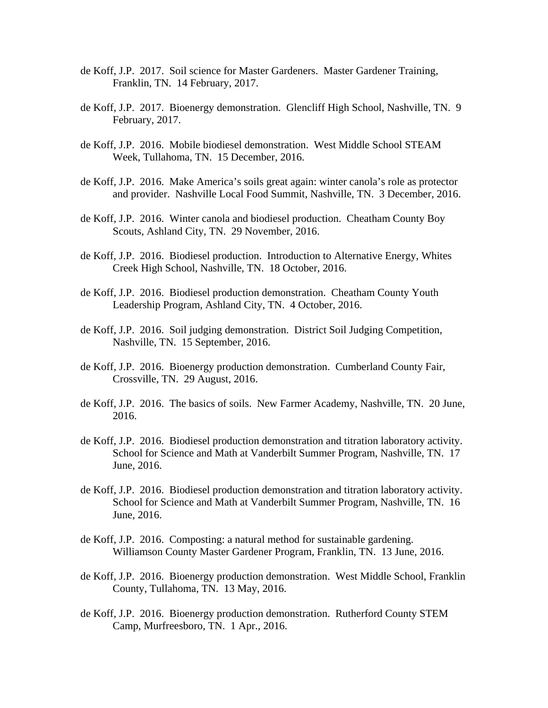- de Koff, J.P. 2017. Soil science for Master Gardeners. Master Gardener Training, Franklin, TN. 14 February, 2017.
- de Koff, J.P. 2017. Bioenergy demonstration. Glencliff High School, Nashville, TN. 9 February, 2017.
- de Koff, J.P. 2016. Mobile biodiesel demonstration. West Middle School STEAM Week, Tullahoma, TN. 15 December, 2016.
- de Koff, J.P. 2016. Make America's soils great again: winter canola's role as protector and provider. Nashville Local Food Summit, Nashville, TN. 3 December, 2016.
- de Koff, J.P. 2016. Winter canola and biodiesel production. Cheatham County Boy Scouts, Ashland City, TN. 29 November, 2016.
- de Koff, J.P. 2016. Biodiesel production. Introduction to Alternative Energy, Whites Creek High School, Nashville, TN. 18 October, 2016.
- de Koff, J.P. 2016. Biodiesel production demonstration. Cheatham County Youth Leadership Program, Ashland City, TN. 4 October, 2016.
- de Koff, J.P. 2016. Soil judging demonstration. District Soil Judging Competition, Nashville, TN. 15 September, 2016.
- de Koff, J.P. 2016. Bioenergy production demonstration. Cumberland County Fair, Crossville, TN. 29 August, 2016.
- de Koff, J.P. 2016. The basics of soils. New Farmer Academy, Nashville, TN. 20 June, 2016.
- de Koff, J.P. 2016. Biodiesel production demonstration and titration laboratory activity. School for Science and Math at Vanderbilt Summer Program, Nashville, TN. 17 June, 2016.
- de Koff, J.P. 2016. Biodiesel production demonstration and titration laboratory activity. School for Science and Math at Vanderbilt Summer Program, Nashville, TN. 16 June, 2016.
- de Koff, J.P. 2016. Composting: a natural method for sustainable gardening. Williamson County Master Gardener Program, Franklin, TN. 13 June, 2016.
- de Koff, J.P. 2016. Bioenergy production demonstration. West Middle School, Franklin County, Tullahoma, TN. 13 May, 2016.
- de Koff, J.P. 2016. Bioenergy production demonstration. Rutherford County STEM Camp, Murfreesboro, TN. 1 Apr., 2016.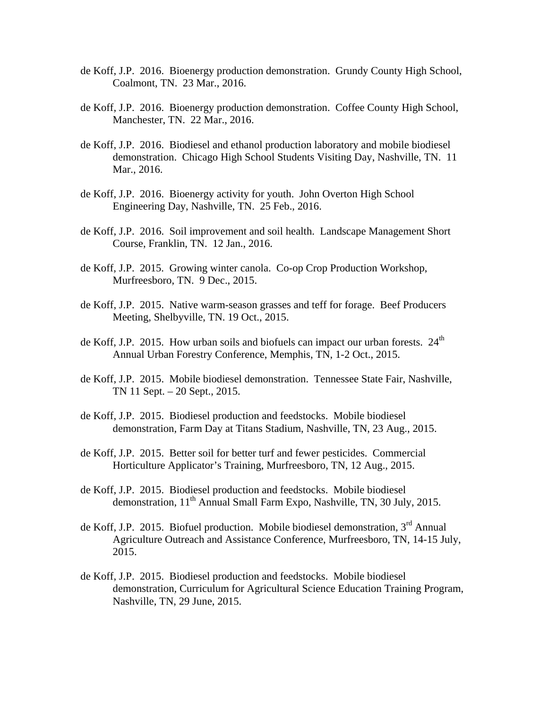- de Koff, J.P. 2016. Bioenergy production demonstration. Grundy County High School, Coalmont, TN. 23 Mar., 2016.
- de Koff, J.P. 2016. Bioenergy production demonstration. Coffee County High School, Manchester, TN. 22 Mar., 2016.
- de Koff, J.P. 2016. Biodiesel and ethanol production laboratory and mobile biodiesel demonstration. Chicago High School Students Visiting Day, Nashville, TN. 11 Mar., 2016.
- de Koff, J.P. 2016. Bioenergy activity for youth. John Overton High School Engineering Day, Nashville, TN. 25 Feb., 2016.
- de Koff, J.P. 2016. Soil improvement and soil health. Landscape Management Short Course, Franklin, TN. 12 Jan., 2016.
- de Koff, J.P. 2015. Growing winter canola. Co-op Crop Production Workshop, Murfreesboro, TN. 9 Dec., 2015.
- de Koff, J.P. 2015. Native warm-season grasses and teff for forage. Beef Producers Meeting, Shelbyville, TN. 19 Oct., 2015.
- de Koff, J.P. 2015. How urban soils and biofuels can impact our urban forests.  $24<sup>th</sup>$ Annual Urban Forestry Conference, Memphis, TN, 1-2 Oct., 2015.
- de Koff, J.P. 2015. Mobile biodiesel demonstration. Tennessee State Fair, Nashville, TN 11 Sept. – 20 Sept., 2015.
- de Koff, J.P. 2015. Biodiesel production and feedstocks. Mobile biodiesel demonstration, Farm Day at Titans Stadium, Nashville, TN, 23 Aug., 2015.
- de Koff, J.P. 2015. Better soil for better turf and fewer pesticides. Commercial Horticulture Applicator's Training, Murfreesboro, TN, 12 Aug., 2015.
- de Koff, J.P. 2015. Biodiesel production and feedstocks. Mobile biodiesel demonstration,  $11<sup>th</sup>$  Annual Small Farm Expo, Nashville, TN, 30 July, 2015.
- de Koff, J.P. 2015. Biofuel production. Mobile biodiesel demonstration,  $3<sup>rd</sup>$  Annual Agriculture Outreach and Assistance Conference, Murfreesboro, TN, 14-15 July, 2015.
- de Koff, J.P. 2015. Biodiesel production and feedstocks. Mobile biodiesel demonstration, Curriculum for Agricultural Science Education Training Program, Nashville, TN, 29 June, 2015.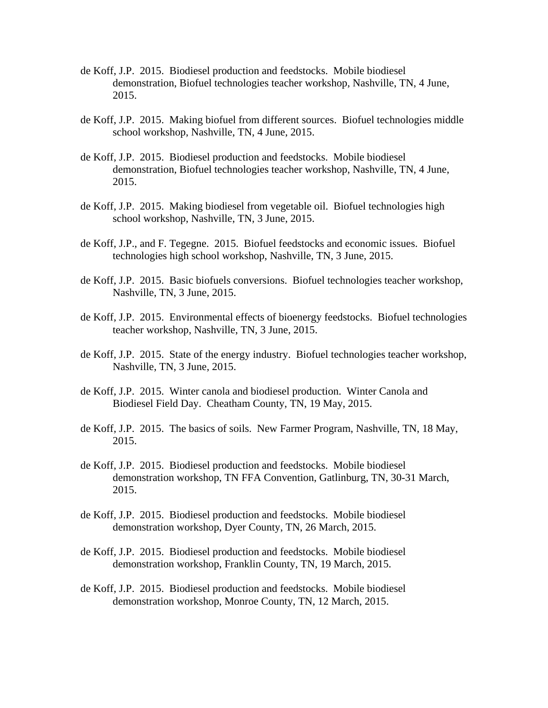- de Koff, J.P. 2015. Biodiesel production and feedstocks. Mobile biodiesel demonstration, Biofuel technologies teacher workshop, Nashville, TN, 4 June, 2015.
- de Koff, J.P. 2015. Making biofuel from different sources. Biofuel technologies middle school workshop, Nashville, TN, 4 June, 2015.
- de Koff, J.P. 2015. Biodiesel production and feedstocks. Mobile biodiesel demonstration, Biofuel technologies teacher workshop, Nashville, TN, 4 June, 2015.
- de Koff, J.P. 2015. Making biodiesel from vegetable oil. Biofuel technologies high school workshop, Nashville, TN, 3 June, 2015.
- de Koff, J.P., and F. Tegegne. 2015. Biofuel feedstocks and economic issues. Biofuel technologies high school workshop, Nashville, TN, 3 June, 2015.
- de Koff, J.P. 2015. Basic biofuels conversions. Biofuel technologies teacher workshop, Nashville, TN, 3 June, 2015.
- de Koff, J.P. 2015. Environmental effects of bioenergy feedstocks. Biofuel technologies teacher workshop, Nashville, TN, 3 June, 2015.
- de Koff, J.P. 2015. State of the energy industry. Biofuel technologies teacher workshop, Nashville, TN, 3 June, 2015.
- de Koff, J.P. 2015. Winter canola and biodiesel production. Winter Canola and Biodiesel Field Day. Cheatham County, TN, 19 May, 2015.
- de Koff, J.P. 2015. The basics of soils. New Farmer Program, Nashville, TN, 18 May, 2015.
- de Koff, J.P. 2015. Biodiesel production and feedstocks. Mobile biodiesel demonstration workshop, TN FFA Convention, Gatlinburg, TN, 30-31 March, 2015.
- de Koff, J.P. 2015. Biodiesel production and feedstocks. Mobile biodiesel demonstration workshop, Dyer County, TN, 26 March, 2015.
- de Koff, J.P. 2015. Biodiesel production and feedstocks. Mobile biodiesel demonstration workshop, Franklin County, TN, 19 March, 2015.
- de Koff, J.P. 2015. Biodiesel production and feedstocks. Mobile biodiesel demonstration workshop, Monroe County, TN, 12 March, 2015.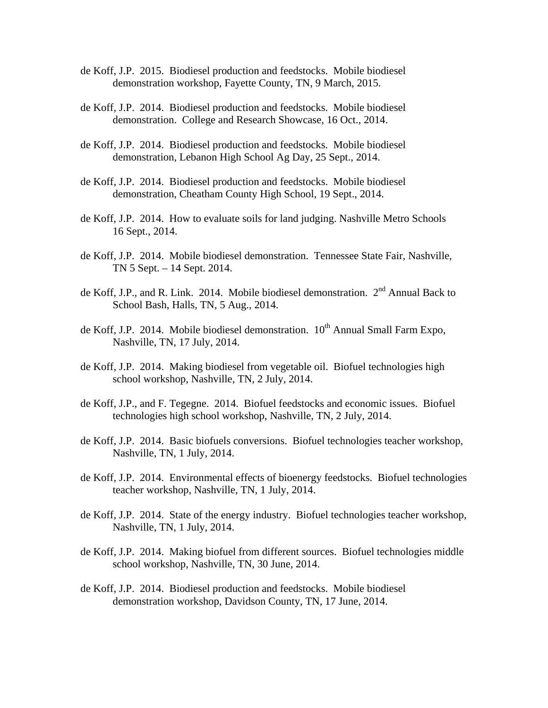- de Koff, J.P. 2015. Biodiesel production and feedstocks. Mobile biodiesel demonstration workshop, Fayette County, TN, 9 March, 2015.
- de Koff, J.P. 2014. Biodiesel production and feedstocks. Mobile biodiesel demonstration. College and Research Showcase, 16 Oct., 2014.
- de Koff, J.P. 2014. Biodiesel production and feedstocks. Mobile biodiesel demonstration, Lebanon High School Ag Day, 25 Sept., 2014.
- de Koff, J.P. 2014. Biodiesel production and feedstocks. Mobile biodiesel demonstration, Cheatham County High School, 19 Sept., 2014.
- de Koff, J.P. 2014. How to evaluate soils for land judging. Nashville Metro Schools 16 Sept., 2014.
- de Koff, J.P. 2014. Mobile biodiesel demonstration. Tennessee State Fair, Nashville, TN 5 Sept. – 14 Sept. 2014.
- de Koff, J.P., and R. Link. 2014. Mobile biodiesel demonstration. 2<sup>nd</sup> Annual Back to School Bash, Halls, TN, 5 Aug., 2014.
- de Koff, J.P. 2014. Mobile biodiesel demonstration.  $10^{th}$  Annual Small Farm Expo, Nashville, TN, 17 July, 2014.
- de Koff, J.P. 2014. Making biodiesel from vegetable oil. Biofuel technologies high school workshop, Nashville, TN, 2 July, 2014.
- de Koff, J.P., and F. Tegegne. 2014. Biofuel feedstocks and economic issues. Biofuel technologies high school workshop, Nashville, TN, 2 July, 2014.
- de Koff, J.P. 2014. Basic biofuels conversions. Biofuel technologies teacher workshop, Nashville, TN, 1 July, 2014.
- de Koff, J.P. 2014. Environmental effects of bioenergy feedstocks. Biofuel technologies teacher workshop, Nashville, TN, 1 July, 2014.
- de Koff, J.P. 2014. State of the energy industry. Biofuel technologies teacher workshop, Nashville, TN, 1 July, 2014.
- de Koff, J.P. 2014. Making biofuel from different sources. Biofuel technologies middle school workshop, Nashville, TN, 30 June, 2014.
- de Koff, J.P. 2014. Biodiesel production and feedstocks. Mobile biodiesel demonstration workshop, Davidson County, TN, 17 June, 2014.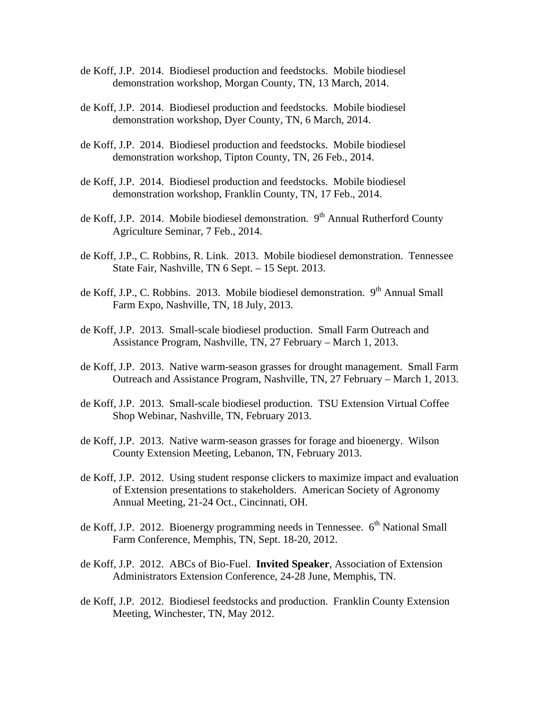- de Koff, J.P. 2014. Biodiesel production and feedstocks. Mobile biodiesel demonstration workshop, Morgan County, TN, 13 March, 2014.
- de Koff, J.P. 2014. Biodiesel production and feedstocks. Mobile biodiesel demonstration workshop, Dyer County, TN, 6 March, 2014.
- de Koff, J.P. 2014. Biodiesel production and feedstocks. Mobile biodiesel demonstration workshop, Tipton County, TN, 26 Feb., 2014.
- de Koff, J.P. 2014. Biodiesel production and feedstocks. Mobile biodiesel demonstration workshop, Franklin County, TN, 17 Feb., 2014.
- de Koff, J.P. 2014. Mobile biodiesel demonstration. 9<sup>th</sup> Annual Rutherford County Agriculture Seminar, 7 Feb., 2014.
- de Koff, J.P., C. Robbins, R. Link. 2013. Mobile biodiesel demonstration. Tennessee State Fair, Nashville, TN 6 Sept. – 15 Sept. 2013.
- de Koff, J.P., C. Robbins. 2013. Mobile biodiesel demonstration.  $9<sup>th</sup>$  Annual Small Farm Expo, Nashville, TN, 18 July, 2013.
- de Koff, J.P. 2013. Small-scale biodiesel production. Small Farm Outreach and Assistance Program, Nashville, TN, 27 February – March 1, 2013.
- de Koff, J.P. 2013. Native warm-season grasses for drought management. Small Farm Outreach and Assistance Program, Nashville, TN, 27 February – March 1, 2013.
- de Koff, J.P. 2013. Small-scale biodiesel production. TSU Extension Virtual Coffee Shop Webinar, Nashville, TN, February 2013.
- de Koff, J.P. 2013. Native warm-season grasses for forage and bioenergy. Wilson County Extension Meeting, Lebanon, TN, February 2013.
- de Koff, J.P. 2012. Using student response clickers to maximize impact and evaluation of Extension presentations to stakeholders. American Society of Agronomy Annual Meeting, 21-24 Oct., Cincinnati, OH.
- de Koff, J.P. 2012. Bioenergy programming needs in Tennessee.  $6<sup>th</sup>$  National Small Farm Conference, Memphis, TN, Sept. 18-20, 2012.
- de Koff, J.P. 2012. ABCs of Bio-Fuel. **Invited Speaker**, Association of Extension Administrators Extension Conference, 24-28 June, Memphis, TN.
- de Koff, J.P. 2012. Biodiesel feedstocks and production. Franklin County Extension Meeting, Winchester, TN, May 2012.